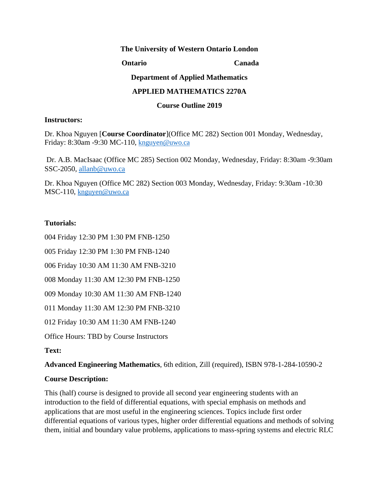#### **The University of Western Ontario London**

**Ontario Canada** 

**Department of Applied Mathematics** 

#### **APPLIED MATHEMATICS 2270A**

#### **Course Outline 2019**

#### **Instructors:**

Dr. Khoa Nguyen [**Course Coordinator**](Office MC 282) Section 001 Monday, Wednesday, Friday: 8:30am -9:30 MC-110, [knguyen@uwo.ca](mailto:knguyen@uwo.ca)

Dr. A.B. MacIsaac (Office MC 285) Section 002 Monday, Wednesday, Friday: 8:30am -9:30am SSC-2050,<allanb@uwo.ca>

Dr. Khoa Nguyen (Office MC 282) Section 003 Monday, Wednesday, Friday: 9:30am -10:30 MSC-110, [knguyen@uwo.ca](mailto:knguyen@uwo.ca)

## **Tutorials:**

004 Friday 12:30 PM 1:30 PM FNB-1250

005 Friday 12:30 PM 1:30 PM FNB-1240

006 Friday 10:30 AM 11:30 AM FNB-3210

008 Monday 11:30 AM 12:30 PM FNB-1250

009 Monday 10:30 AM 11:30 AM FNB-1240

011 Monday 11:30 AM 12:30 PM FNB-3210

012 Friday 10:30 AM 11:30 AM FNB-1240

Office Hours: TBD by Course Instructors

## **Text:**

**Advanced Engineering Mathematics**, 6th edition, Zill (required), ISBN 978-1-284-10590-2

## **Course Description:**

This (half) course is designed to provide all second year engineering students with an introduction to the field of differential equations, with special emphasis on methods and applications that are most useful in the engineering sciences. Topics include first order differential equations of various types, higher order differential equations and methods of solving them, initial and boundary value problems, applications to mass-spring systems and electric RLC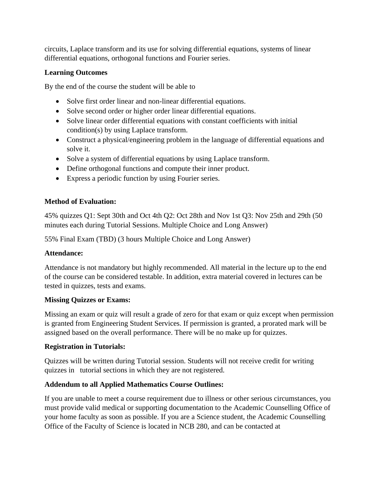circuits, Laplace transform and its use for solving differential equations, systems of linear differential equations, orthogonal functions and Fourier series.

## **Learning Outcomes**

By the end of the course the student will be able to

- Solve first order linear and non-linear differential equations.
- Solve second order or higher order linear differential equations.
- Solve linear order differential equations with constant coefficients with initial condition(s) by using Laplace transform.
- Construct a physical/engineering problem in the language of differential equations and solve it.
- Solve a system of differential equations by using Laplace transform.
- Define orthogonal functions and compute their inner product.
- Express a periodic function by using Fourier series.

## **Method of Evaluation:**

45% quizzes Q1: Sept 30th and Oct 4th Q2: Oct 28th and Nov 1st Q3: Nov 25th and 29th (50 minutes each during Tutorial Sessions. Multiple Choice and Long Answer)

55% Final Exam (TBD) (3 hours Multiple Choice and Long Answer)

## **Attendance:**

Attendance is not mandatory but highly recommended. All material in the lecture up to the end of the course can be considered testable. In addition, extra material covered in lectures can be tested in quizzes, tests and exams.

## **Missing Quizzes or Exams:**

Missing an exam or quiz will result a grade of zero for that exam or quiz except when permission is granted from Engineering Student Services. If permission is granted, a prorated mark will be assigned based on the overall performance. There will be no make up for quizzes.

# **Registration in Tutorials:**

Quizzes will be written during Tutorial session. Students will not receive credit for writing quizzes in tutorial sections in which they are not registered.

# **Addendum to all Applied Mathematics Course Outlines:**

If you are unable to meet a course requirement due to illness or other serious circumstances, you must provide valid medical or supporting documentation to the Academic Counselling Office of your home faculty as soon as possible. If you are a Science student, the Academic Counselling Office of the Faculty of Science is located in NCB 280, and can be contacted at